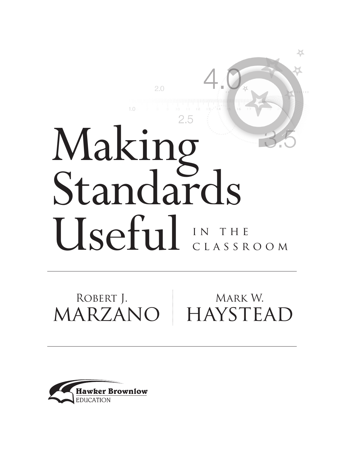# Making Standards Useful IN THE classroom

 $2.0$ 

穴

MARZANO ROBERT J. MARK W. HAYSTEAD

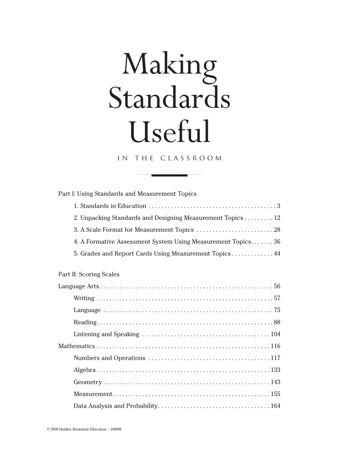## Making Standards Useful

#### in the classroom

| Part I: Using Standards and Measurement Topics              |  |  |
|-------------------------------------------------------------|--|--|
|                                                             |  |  |
| 2. Unpacking Standards and Designing Measurement Topics 12  |  |  |
|                                                             |  |  |
| 4. A Formative Assessment System Using Measurement Topics36 |  |  |
| 5. Grades and Report Cards Using Measurement Topics 44      |  |  |
|                                                             |  |  |
| <b>Part II: Scoring Scales</b>                              |  |  |
|                                                             |  |  |
|                                                             |  |  |
|                                                             |  |  |
|                                                             |  |  |
|                                                             |  |  |
|                                                             |  |  |
|                                                             |  |  |
|                                                             |  |  |
|                                                             |  |  |
|                                                             |  |  |
|                                                             |  |  |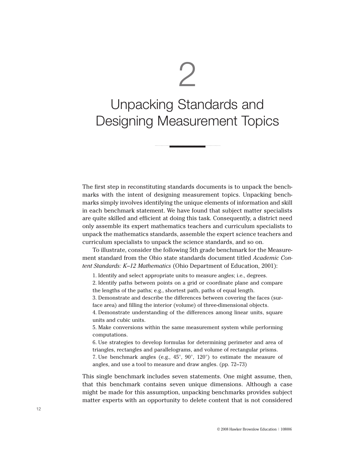2

### Unpacking Standards and Designing Measurement Topics

The first step in reconstituting standards documents is to unpack the benchmarks with the intent of designing measurement topics. Unpacking benchmarks simply involves identifying the unique elements of information and skill in each benchmark statement. We have found that subject matter specialists are quite skilled and efficient at doing this task. Consequently, a district need only assemble its expert mathematics teachers and curriculum specialists to unpack the mathematics standards, assemble the expert science teachers and curriculum specialists to unpack the science standards, and so on.

To illustrate, consider the following 5th grade benchmark for the Measurement standard from the Ohio state standards document titled *Academic Content Standards: K–12 Mathematics* (Ohio Department of Education, 2001):

1. Identify and select appropriate units to measure angles; i.e., degrees.

2. Identify paths between points on a grid or coordinate plane and compare the lengths of the paths; e.g., shortest path, paths of equal length.

3. Demonstrate and describe the differences between covering the faces (surface area) and filling the interior (volume) of three-dimensional objects.

4. Demonstrate understanding of the differences among linear units, square units and cubic units.

5. Make conversions within the same measurement system while performing computations.

6. Use strategies to develop formulas for determining perimeter and area of triangles, rectangles and parallelograms, and volume of rectangular prisms. 7. Use benchmark angles (e.g., 45°, 90°, 120°) to estimate the measure of

angles, and use a tool to measure and draw angles. (pp. 72–73)

This single benchmark includes seven statements. One might assume, then, that this benchmark contains seven unique dimensions. Although a case might be made for this assumption, unpacking benchmarks provides subject matter experts with an opportunity to delete content that is not considered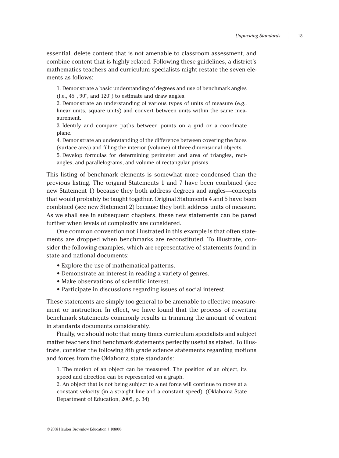essential, delete content that is not amenable to classroom assessment, and combine content that is highly related. Following these guidelines, a district's mathematics teachers and curriculum specialists might restate the seven elements as follows:

1. Demonstrate a basic understanding of degrees and use of benchmark angles (i.e., 45°, 90°, and 120°) to estimate and draw angles.

2. Demonstrate an understanding of various types of units of measure (e.g., linear units, square units) and convert between units within the same measurement.

3. Identify and compare paths between points on a grid or a coordinate plane.

4. Demonstrate an understanding of the difference between covering the faces (surface area) and filling the interior (volume) of three-dimensional objects.

5. Develop formulas for determining perimeter and area of triangles, rectangles, and parallelograms, and volume of rectangular prisms.

This listing of benchmark elements is somewhat more condensed than the previous listing. The original Statements 1 and 7 have been combined (see new Statement 1) because they both address degrees and angles—concepts that would probably be taught together. Original Statements 4 and 5 have been combined (see new Statement 2) because they both address units of measure. As we shall see in subsequent chapters, these new statements can be pared further when levels of complexity are considered.

One common convention not illustrated in this example is that often statements are dropped when benchmarks are reconstituted. To illustrate, consider the following examples, which are representative of statements found in state and national documents:

- Explore the use of mathematical patterns.
- Demonstrate an interest in reading a variety of genres.
- Make observations of scientific interest.
- Participate in discussions regarding issues of social interest.

These statements are simply too general to be amenable to effective measurement or instruction. In effect, we have found that the process of rewriting benchmark statements commonly results in trimming the amount of content in standards documents considerably.

Finally, we should note that many times curriculum specialists and subject matter teachers find benchmark statements perfectly useful as stated. To illustrate, consider the following 8th grade science statements regarding motions and forces from the Oklahoma state standards:

1. The motion of an object can be measured. The position of an object, its speed and direction can be represented on a graph.

2. An object that is not being subject to a net force will continue to move at a constant velocity (in a straight line and a constant speed). (Oklahoma State Department of Education, 2005, p. 34)